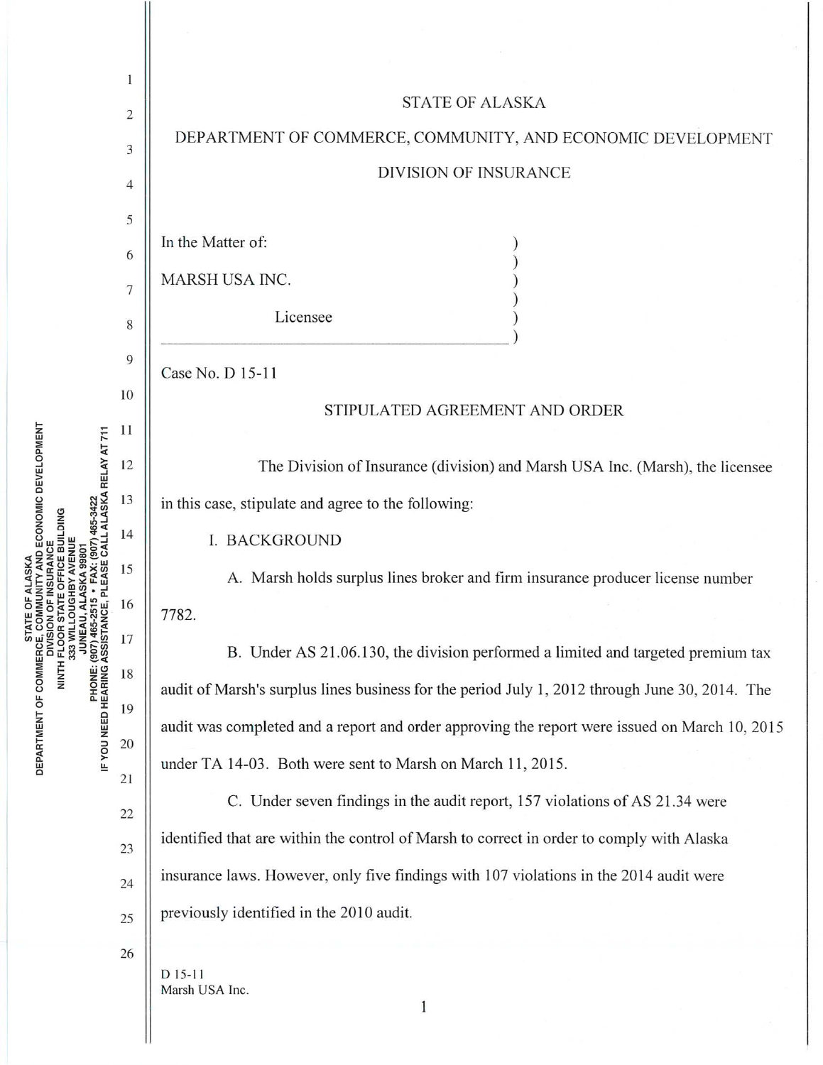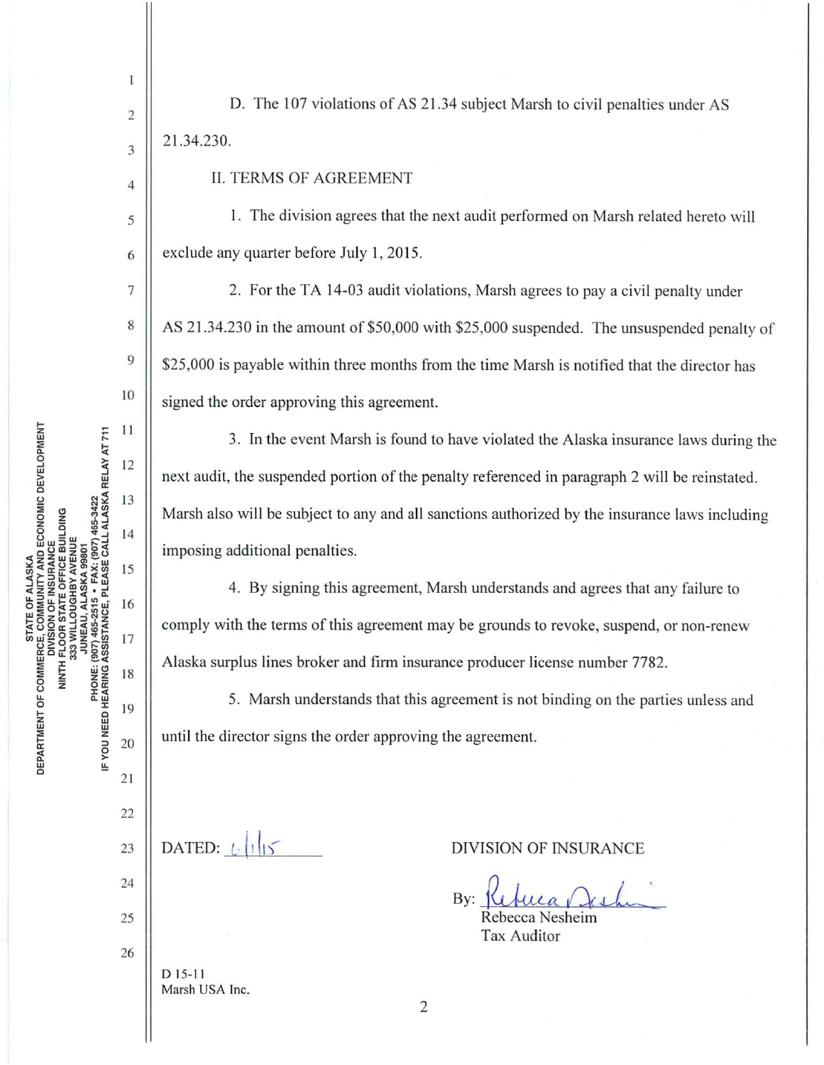'ALASKA<br>JNITY AND ECONOMIC DEVELOPMENT<br>INSURANCE IF YOU NEED HEARING ASSISTANCE, PLEASE CALL ALASKA RELAY AT 711<br>IF YOU NEED HEARING ASSISTANCE, PLEASE CALL ALASKA RELAY AT 711 OFFICE BUILDING DEPARTMENT OF COMMERCE, COM NINTH FLOOR<br>333 WIL

 $\mathbf{1}$ 

 $\overline{c}$ 

3

 $\overline{4}$ 

5

6

D. The 107 violations of AS 21.34 subject Marsh to civil penalties under AS 21.34.230.

**II. TERMS OF AGREEMENT** 

1. The division agrees that the next audit performed on Marsh related hereto will exclude any quarter before July 1, 2015.

2. For the TA 14-03 audit violations, Marsh agrees to pay a civil penalty under AS 21.34.230 in the amount of \$50,000 with \$25,000 suspended. The unsuspended penalty of \$25,000 is payable within three months from the time Marsh is notified that the director has signed the order approving this agreement.

3. In the event Marsh is found to have violated the Alaska insurance laws during the next audit, the suspended portion of the penalty referenced in paragraph 2 will be reinstated. Marsh also will be subject to any and all sanctions authorized by the insurance laws including imposing additional penalties.

4. By signing this agreement, Marsh understands and agrees that any failure to comply with the terms of this agreement may be grounds to revoke, suspend, or non-renew Alaska surplus lines broker and firm insurance producer license number 7782.

5. Marsh understands that this agreement is not binding on the parties unless and until the director signs the order approving the agreement.

DATED:  $\|\cdot\|_{15}$  $D$  15-11 Marsh USA Inc.

**DIVISION OF INSURANCE** 

By:

Rebecca Nesheim Tax Auditor

 $\overline{2}$